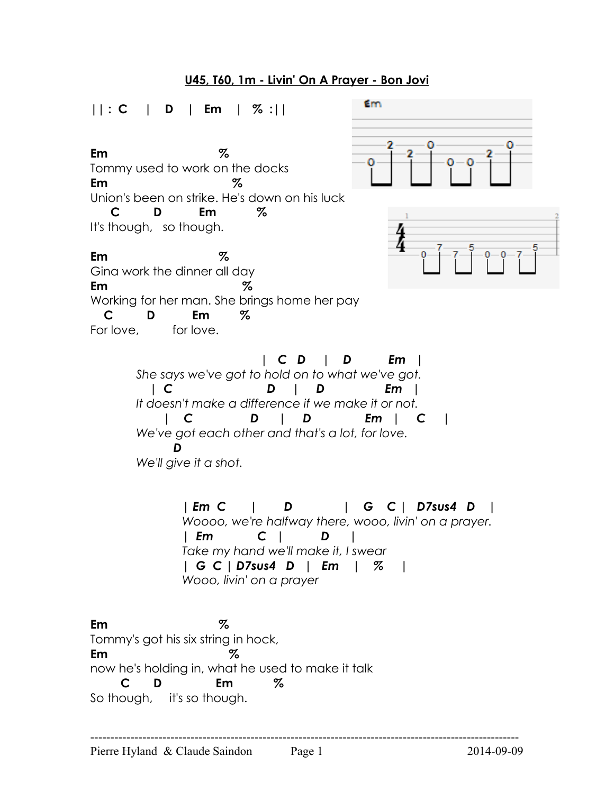## **U45, T60, 1m - Livin' On A Prayer - Bon Jovi**

**Crry** 

## **|| : C | D | Em | % :||**

**Em %**  Tommy used to work on the docks **Em %** Union's been on strike. He's down on his luck  **C D Em %** It's though, so though.

**Em %**  Gina work the dinner all day **Em %** Working for her man. She brings home her pay  **C D Em %**





*| Em C | D | G C | D7sus4 D | Woooo, we're halfway there, wooo, livin' on a prayer. | Em C | D | Take my hand we'll make it, I swear | G C | D7sus4 D | Em | % | Wooo, livin' on a prayer*

**Em %**  Tommy's got his six string in hock, **Em %** now he's holding in, what he used to make it talk  **C D Em %** So though, it's so though.